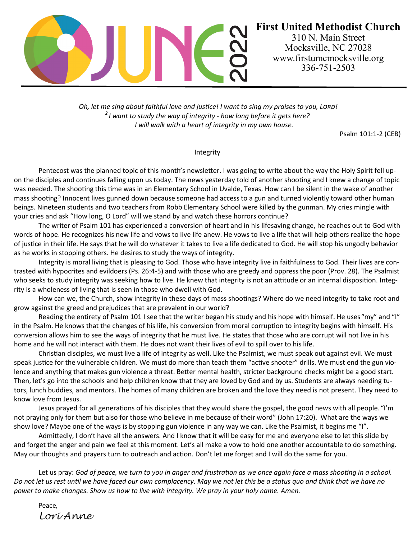

*Oh, let me sing about faithful love and justice! I want to sing my praises to you, Lord! 2 I want to study the way of integrity - how long before it gets here? I will walk with a heart of integrity in my own house.*

Psalm 101:1-2 (CEB)

# Integrity

 on the disciples and continues falling upon us today. The news yesterday told of another shooting and I knew a change of topic Pentecost was the planned topic of this month's newsletter. I was going to write about the way the Holy Spirit fell upwas needed. The shooting this time was in an Elementary School in Uvalde, Texas. How can I be silent in the wake of another mass shooting? Innocent lives gunned down because someone had access to a gun and turned violently toward other human beings. Nineteen students and two teachers from Robb Elementary School were killed by the gunman. My cries mingle with your cries and ask "How long, O Lord" will we stand by and watch these horrors continue?

The writer of Psalm 101 has experienced a conversion of heart and in his lifesaving change, he reaches out to God with words of hope. He recognizes his new life and vows to live life anew. He vows to live a life that will help others realize the hope of justice in their life. He says that he will do whatever it takes to live a life dedicated to God. He will stop his ungodly behavior as he works in stopping others. He desires to study the ways of integrity.

Integrity is moral living that is pleasing to God. Those who have integrity live in faithfulness to God. Their lives are contrasted with hypocrites and evildoers (Ps. 26:4-5) and with those who are greedy and oppress the poor (Prov. 28). The Psalmist who seeks to study integrity was seeking how to live. He knew that integrity is not an attitude or an internal disposition. Integrity is a wholeness of living that is seen in those who dwell with God.

How can we, the Church, show integrity in these days of mass shootings? Where do we need integrity to take root and grow against the greed and prejudices that are prevalent in our world?

Reading the entirety of Psalm 101 I see that the writer began his study and his hope with himself. He uses "my" and "I" in the Psalm. He knows that the changes of his life, his conversion from moral corruption to integrity begins with himself. His conversion allows him to see the ways of integrity that he must live. He states that those who are corrupt will not live in his home and he will not interact with them. He does not want their lives of evil to spill over to his life.

Christian disciples, we must live a life of integrity as well. Like the Psalmist, we must speak out against evil. We must speak justice for the vulnerable children. We must do more than teach them "active shooter" drills. We must end the gun violence and anything that makes gun violence a threat. Better mental health, stricter background checks might be a good start. Then, let's go into the schools and help children know that they are loved by God and by us. Students are always needing tutors, lunch buddies, and mentors. The homes of many children are broken and the love they need is not present. They need to know love from Jesus.

Jesus prayed for all generations of his disciples that they would share the gospel, the good news with all people. "I'm not praying only for them but also for those who believe in me because of their word" (John 17:20). What are the ways we show love? Maybe one of the ways is by stopping gun violence in any way we can. Like the Psalmist, it begins me "I".

Admittedly, I don't have all the answers. And I know that it will be easy for me and everyone else to let this slide by and forget the anger and pain we feel at this moment. Let's all make a vow to hold one another accountable to do something. May our thoughts and prayers turn to outreach and action. Don't let me forget and I will do the same for you.

Let us pray: *God of peace, we turn to you in anger and frustration as we once again face a mass shooting in a school. Do not let us rest until we have faced our own complacency. May we not let this be a status quo and think that we have no power to make changes. Show us how to live with integrity. We pray in your holy name. Amen.*

Peace, *Lori Anne*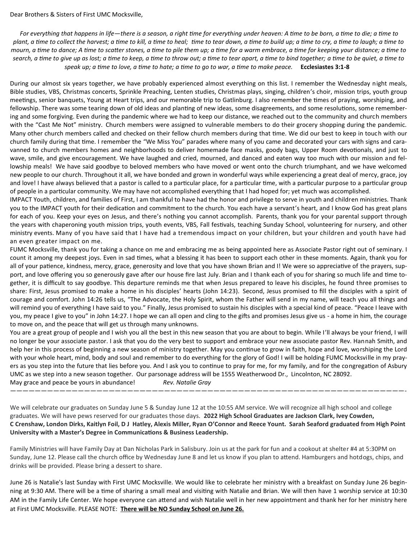*For everything that happens in life—there is a season, a right time for everything under heaven: A time to be born, a time to die; a time to plant, a time to collect the harvest; a time to kill, a time to heal; time to tear down, a time to build up; a time to cry, a time to laugh; a time to mourn, a time to dance; A time to scatter stones, a time to pile them up; a time for a warm embrace, a time for keeping your distance; a time to search, a time to give up as lost; a time to keep, a time to throw out; a time to tear apart, a time to bind together; a time to be quiet, a time to speak up; a time to love, a time to hate; a time to go to war, a time to make peace.* **Ecclesiastes 3:1-8**

During our almost six years together, we have probably experienced almost everything on this list. I remember the Wednesday night meals, Bible studies, VBS, Christmas concerts, Sprinkle Preaching, Lenten studies, Christmas plays, singing, children's choir, mission trips, youth group meetings, senior banquets, Young at Heart trips, and our memorable trip to Gatlinburg. I also remember the times of praying, worshiping, and fellowship. There was some tearing down of old ideas and planting of new ideas, some disagreements, and some resolutions, some remembering and some forgiving. Even during the pandemic where we had to keep our distance, we reached out to the community and church members with the "Cast Me Not" ministry. Church members were assigned to vulnerable members to do their grocery shopping during the pandemic. Many other church members called and checked on their fellow church members during that time. We did our best to keep in touch with our church family during that time. I remember the "We Miss You" parades where many of you came and decorated your cars with signs and caravanned to church members homes and neighborhoods to deliver homemade face masks, goody bags, Upper Room devotionals, and just to wave, smile, and give encouragement. We have laughed and cried, mourned, and danced and eaten way too much with our mission and fellowship meals! We have said goodbye to beloved members who have moved or went onto the church triumphant, and we have welcomed new people to our church. Throughout it all, we have bonded and grown in wonderful ways while experiencing a great deal of mercy, grace, joy and love! I have always believed that a pastor is called to a particular place, for a particular time, with a particular purpose to a particular group of people in a particular community. We may have not accomplished everything that I had hoped for; yet much was accomplished.

IMPACT Youth, children, and families of First, I am thankful to have had the honor and privilege to serve in youth and children ministries. Thank you to the IMPACT youth for their dedication and commitment to the church. You each have a servant's heart, and I know God has great plans for each of you. Keep your eyes on Jesus, and there's nothing you cannot accomplish. Parents, thank you for your parental support through the years with chaperoning youth mission trips, youth events, VBS, Fall festivals, teaching Sunday School, volunteering for nursery, and other ministry events. Many of you have said that I have had a tremendous impact on your children, but your children and youth have had an even greater impact on me.

FUMC Mocksville, thank you for taking a chance on me and embracing me as being appointed here as Associate Pastor right out of seminary. I count it among my deepest joys. Even in sad times, what a blessing it has been to support each other in these moments. Again, thank you for all of your patience, kindness, mercy, grace, generosity and love that you have shown Brian and I! We were so appreciative of the prayers, support, and love offering you so generously gave after our house fire last July. Brian and I thank each of you for sharing so much life and time together, it is difficult to say goodbye. This departure reminds me that when Jesus prepared to leave his disciples, he found three promises to share: First, Jesus promised to make a home in his disciples' hearts (John 14:23). Second, Jesus promised to fill the disciples with a spirit of courage and comfort. John 14:26 tells us, "The Advocate, the Holy Spirit, whom the Father will send in my name, will teach you all things and will remind you of everything I have said to you." Finally, Jesus promised to sustain his disciples with a special kind of peace. "Peace I leave with you, my peace I give to you" in John 14:27. I hope we can all open and cling to the gifts and promises Jesus give us - a home in him, the courage to move on, and the peace that will get us through many unknowns.

You are a great group of people and I wish you all the best in this new season that you are about to begin. While I'll always be your friend, I will no longer be your associate pastor. I ask that you do the very best to support and embrace your new associate pastor Rev. Hannah Smith, and help her in this process of beginning a new season of ministry together. May you continue to grow in faith, hope and love, worshiping the Lord with your whole heart, mind, body and soul and remember to do everything for the glory of God! I will be holding FUMC Mocksville in my prayers as you step into the future that lies before you. And I ask you to continue to pray for me, for my family, and for the congregation of Asbury UMC as we step into a new season together. Our parsonage address will be 1555 Weatherwood Dr., Lincolnton, NC 28092. May grace and peace be yours in abundance! *Rev. Natalie Gray*

We will celebrate our graduates on Sunday June 5 & Sunday June 12 at the 10:55 AM service. We will recognize all high school and college graduates. We will have pews reserved for our graduates those days. **2022 High School Graduates are Jackson Clark, Ivey Cowden, C Crenshaw, London Dirks, Kaitlyn Foil, D J Hatley, Alexis Miller, Ryan O'Connor and Reece Yount. Sarah Seaford graduated from High Point University with a Master's Degree in Communications & Business Leadership.**

*————————————————————————————————————————————————————————————————-*

Family Ministries will have Family Day at Dan Nicholas Park in Salisbury. Join us at the park for fun and a cookout at shelter #4 at 5:30PM on Sunday, June 12. Please call the church office by Wednesday June 8 and let us know if you plan to attend. Hamburgers and hotdogs, chips, and drinks will be provided. Please bring a dessert to share.

June 26 is Natalie's last Sunday with First UMC Mocksville. We would like to celebrate her ministry with a breakfast on Sunday June 26 beginning at 9:30 AM. There will be a time of sharing a small meal and visiting with Natalie and Brian. We will then have 1 worship service at 10:30 AM in the Family Life Center. We hope everyone can attend and wish Natalie well in her new appointment and thank her for her ministry here at First UMC Mocksville. PLEASE NOTE: **There will be NO Sunday School on June 26.**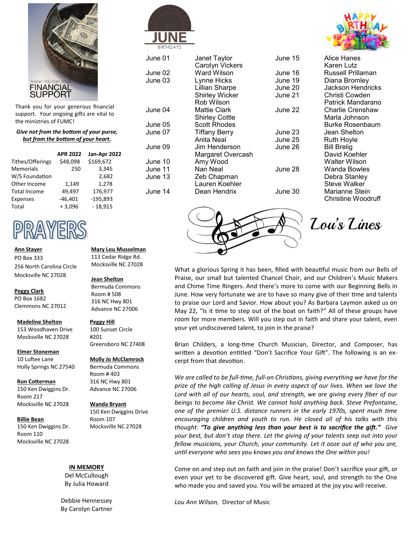

Thank you for your generous financial support. Your ongoing gifts are vital to the ministries of FUMC!

#### *Give not from the bottom of your purse, but from the bottom of your heart.*

|                     | <b>APR 2022</b> | Jan-Apr 2022 |
|---------------------|-----------------|--------------|
| Tithes/Offerings    | \$48,098        | \$169,672    |
| <b>Memorials</b>    | 250             | 3.345        |
| W/S Foundation      |                 | 2,682        |
| Other Income        | 1,149           | 1,278        |
| <b>Total Income</b> | 49,497          | 176,977      |
| Expenses            | $-46,401$       | $-195,893$   |
| Total               | $+3,096$        | $-18,915$    |

# PRAYERS

**Ann Stayer** PO Box 333 256 North Carolina Circle Mocksville NC 27028

#### **Peggy Clark**

PO Box 1682 Clemmons NC 27012

#### **Madeline Shelton**

153 Woodhaven Drive Mocksville NC 27028

**Elmer Stoneman**

10 Luftee Lane Holly Springs NC 27540

### **Ron Cotterman**

150 Ken Dwiggins Dr. Room 217 Mocksville NC 27028

#### **Billie Bean**

150 Ken Dwiggins Dr. Room 110 Mocksville NC 27028

#### **Mary Lou Musselman** 113 Cedar Ridge Rd. Mocksville NC 27028

#### **Jean Shelton**

Bermuda Commons Room # 508 316 NC Hwy 801 Advance NC 27006

## **Peggy Hill**

100 Sunset Circle #201 Greensboro NC 27408

#### **Molly Jo McClamrock**

Bermuda Commons Room # 403 316 NC Hwy 801 Advance NC 27006

#### **Wanda Bryant** 150 Ken Dwiggins Drive Room 107 Mocksville NC 27028

#### **IN MEMORY**

Del McCullough By Julia Howard

Debbie Hennessey By Carolyn Cartner



| June 01 | Janet Taylor<br>Carolyn Vickers | June 1 |
|---------|---------------------------------|--------|
| June 02 | Ward Wilson                     | June 1 |
| June 03 | Lynne Hicks                     | June 1 |
|         | <b>Lillian Sharpe</b>           | June 2 |
|         | <b>Shirley Wicker</b>           | June 2 |
|         | Rob Wilson                      |        |
| June 04 | <b>Mattie Clark</b>             | June 2 |
|         | <b>Shirley Cottle</b>           |        |
| June 05 | <b>Scott Rhodes</b>             |        |
| June 07 | <b>Tiffany Berry</b>            | June 2 |
|         | Anita Neal                      | June 2 |
| June 09 | Jim Henderson                   | June 2 |
|         | Margaret Overcash               |        |
| June 10 | Amy Wood                        |        |
| June 11 | Nan Neal                        | June 2 |
| June 13 | Zeb Chapman                     |        |
|         | Lauren Koehler                  |        |
| June 14 | Dean Hendrix                    | June 3 |
|         |                                 |        |



| June 15 | Alice Hanes        |
|---------|--------------------|
|         | Karen Lutz         |
| June 16 | Russell Prillaman  |
| June 19 | Diana Bromley      |
| June 20 | Jackson Hendricks  |
| June 21 | Christi Cowden     |
|         | Patrick Mandarano  |
| June 22 | Charlie Crenshaw   |
|         | Marla Johnson      |
|         | Burke Rosenbaum    |
| June 23 | Jean Shelton       |
| June 25 | <b>Ruth Hoyle</b>  |
| June 26 | <b>Bill Brelig</b> |
|         | David Koehler      |
|         | Walter Wilson      |
| June 28 | Wanda Bowles       |
|         | Debra Stanley      |
|         | Steve Walker       |
| June 30 | Marianne Stein     |
|         | Christine Woodruff |
|         |                    |



Lou's Lines

What a glorious Spring it has been, filled with beautiful music from our Bells of Praise, our small but talented Chancel Choir, and our Children's Music Makers and Chime Time Ringers. And there's more to come with our Beginning Bells in June. How very fortunate we are to have so many give of their time and talents to praise our Lord and Savior. How about you? As Barbara Laymon asked us on May 22, "Is it time to step out of the boat on faith?" All of these groups have room for more members. Will you step out in faith and share your talent, even your yet undiscovered talent, to join in the praise?

Brian Childers, a long-time Church Musician, Director, and Composer, has written a devotion entitled "Don't Sacrifice Your Gift". The following is an excerpt from that devotion.

*We are called to be full-time, full-on Christians, giving everything we have for the prize of the high calling of Jesus in every aspect of our lives. When we love the Lord with all of our hearts, soul, and strength, we are giving every fiber of our beings to become like Christ. We cannot hold anything back. Steve Prefontaine, one of the premier U.S. distance runners in the early 1970s, spent much time encouraging children and youth to run. He closed all of his talks with this thought: "To give anything less than your best is to sacrifice the gift." Give your best, but don't stop there. Let the giving of your talents seep out into your fellow musicians, your Church, your community. Let it ooze out of who you are, until everyone who sees you knows you and knows the One within you!*

Come on and step out on faith and join in the praise! Don't sacrifice your gift, or even your yet to be discovered gift. Give heart, soul, and strength to the One who made you and saved you. You will be amazed at the joy you will receive.

*Lou Ann Wilson,* Director of Music